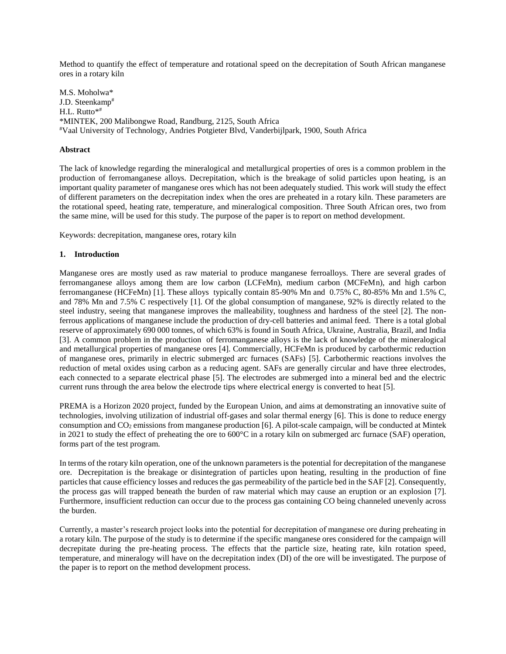Method to quantify the effect of temperature and rotational speed on the decrepitation of South African manganese ores in a rotary kiln

M.S. Moholwa\* J.D. Steenkamp# H.L. Rutto\*# \*MINTEK, 200 Malibongwe Road, Randburg, 2125, South Africa #Vaal University of Technology, Andries Potgieter Blvd, Vanderbijlpark, 1900, South Africa

# **Abstract**

The lack of knowledge regarding the mineralogical and metallurgical properties of ores is a common problem in the production of ferromanganese alloys. Decrepitation, which is the breakage of solid particles upon heating, is an important quality parameter of manganese ores which has not been adequately studied. This work will study the effect of different parameters on the decrepitation index when the ores are preheated in a rotary kiln. These parameters are the rotational speed, heating rate, temperature, and mineralogical composition. Three South African ores, two from the same mine, will be used for this study. The purpose of the paper is to report on method development.

Keywords: decrepitation, manganese ores, rotary kiln

#### **1. Introduction**

Manganese ores are mostly used as raw material to produce manganese ferroalloys. There are several grades of ferromanganese alloys among them are low carbon (LCFeMn), medium carbon (MCFeMn), and high carbon ferromanganese (HCFeMn) [1]. These alloys typically contain 85-90% Mn and 0.75% C, 80-85% Mn and 1.5% C, and 78% Mn and 7.5% C respectively [1]. Of the global consumption of manganese, 92% is directly related to the steel industry, seeing that manganese improves the malleability, toughness and hardness of the steel [2]. The nonferrous applications of manganese include the production of dry-cell batteries and animal feed. There is a total global reserve of approximately 690 000 tonnes, of which 63% is found in South Africa, Ukraine, Australia, Brazil, and India [3]. A common problem in the production of ferromanganese alloys is the lack of knowledge of the mineralogical and metallurgical properties of manganese ores [4]. Commercially, HCFeMn is produced by carbothermic reduction of manganese ores, primarily in electric submerged arc furnaces (SAFs) [5]. Carbothermic reactions involves the reduction of metal oxides using carbon as a reducing agent. SAFs are generally circular and have three electrodes, each connected to a separate electrical phase [5]. The electrodes are submerged into a mineral bed and the electric current runs through the area below the electrode tips where electrical energy is converted to heat [5].

PREMA is a Horizon 2020 project, funded by the European Union, and aims at demonstrating an innovative suite of technologies, involving utilization of industrial off-gases and solar thermal energy [6]. This is done to reduce energy consumption and  $CO<sub>2</sub>$  emissions from manganese production [6]. A pilot-scale campaign, will be conducted at Mintek in 2021 to study the effect of preheating the ore to 600°C in a rotary kiln on submerged arc furnace (SAF) operation, forms part of the test program.

In terms of the rotary kiln operation, one of the unknown parameters is the potential for decrepitation of the manganese ore. Decrepitation is the breakage or disintegration of particles upon heating, resulting in the production of fine particles that cause efficiency losses and reduces the gas permeability of the particle bed in the SAF [2]. Consequently, the process gas will trapped beneath the burden of raw material which may cause an eruption or an explosion [7]. Furthermore, insufficient reduction can occur due to the process gas containing CO being channeled unevenly across the burden.

Currently, a master's research project looks into the potential for decrepitation of manganese ore during preheating in a rotary kiln. The purpose of the study is to determine if the specific manganese ores considered for the campaign will decrepitate during the pre-heating process. The effects that the particle size, heating rate, kiln rotation speed, temperature, and mineralogy will have on the decrepitation index (DI) of the ore will be investigated. The purpose of the paper is to report on the method development process.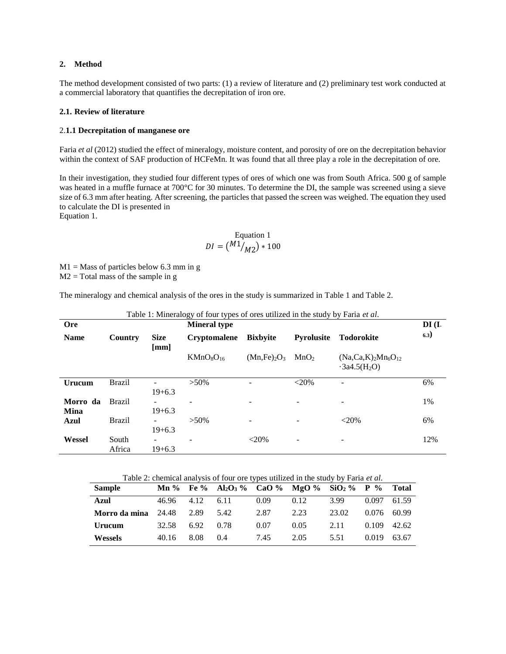## **2. Method**

The method development consisted of two parts: (1) a review of literature and (2) preliminary test work conducted at a commercial laboratory that quantifies the decrepitation of iron ore.

#### **2.1. Review of literature**

#### 2.**1.1 Decrepitation of manganese ore**

Faria *et al* (2012) studied the effect of mineralogy, moisture content, and porosity of ore on the decrepitation behavior within the context of SAF production of HCFeMn. It was found that all three play a role in the decrepitation of ore.

In their investigation, they studied four different types of ores of which one was from South Africa. 500 g of sample was heated in a muffle furnace at 700°C for 30 minutes. To determine the DI, the sample was screened using a sieve size of 6.3 mm after heating. After screening, the particles that passed the screen was weighed. The equation they used to calculate the DI is presented in [Equation](#page-1-0) 1.

> Equation 1  $DI = \left(\frac{M1}{M2}\right) * 100$

<span id="page-1-3"></span><span id="page-1-0"></span> $M1 =$  Mass of particles below 6.3 mm in g  $M2 = Total mass of the sample in g$ 

The mineralogy and chemical analysis of the ores in the study is summarized in [Table 1](#page-1-1) an[d Table 2.](#page-1-2)

<span id="page-1-1"></span>

| <b>Ore</b>              |                 |                                        | ວມ<br>----- <i>-</i><br><b>Mineral type</b> |                 |                   |                                        | $DI$ (I. |
|-------------------------|-----------------|----------------------------------------|---------------------------------------------|-----------------|-------------------|----------------------------------------|----------|
| <b>Name</b>             | Country         | <b>Size</b><br>[mm]                    | <b>Cryptomalene</b>                         | <b>Bixbyite</b> | <b>Pyrolusite</b> | <b>Todorokite</b>                      | 6.3)     |
|                         |                 |                                        | $KMnO_8O_{16}$                              | $(Mn, Fe)_2O_3$ | MnO <sub>2</sub>  | $(Na, Ca, K)2Mn6O12$<br>$-3a4.5(H_2O)$ |          |
| Urucum                  | <b>Brazil</b>   | $19+6.3$                               | $>50\%$                                     |                 | $<$ 20%           |                                        | 6%       |
| Morro da<br><b>Mina</b> | <b>Brazil</b>   | $\overline{\phantom{a}}$<br>$19 + 6.3$ |                                             |                 |                   |                                        | 1%       |
| Azul                    | <b>Brazil</b>   | -<br>$19+6.3$                          | $>50\%$                                     |                 |                   | $<$ 20%                                | 6%       |
| Wessel                  | South<br>Africa | -<br>$19+6.3$                          | ۰                                           | $<$ 20%         | ۰                 | $\qquad \qquad \blacksquare$           | 12%      |

Table 1: Mineralogy of four types of ores utilized in the study by Faria *et al*.

|  | Table 2: chemical analysis of four ore types utilized in the study by Faria et al. |
|--|------------------------------------------------------------------------------------|
|  |                                                                                    |

<span id="page-1-2"></span>

| <b>Sample</b>  | $\mathbf{Mn}$ % |      | Fe % Al <sub>2</sub> O <sub>3</sub> % CaO % MgO % SiO <sub>2</sub> % P % |      |      |       |       | <b>Total</b> |
|----------------|-----------------|------|--------------------------------------------------------------------------|------|------|-------|-------|--------------|
| <b>Azul</b>    | 46.96           | 4.12 | 6.11                                                                     | 0.09 | 0.12 | 3.99  | 0.097 | 61.59        |
| Morro da mina  | 24.48           | 2.89 | 5.42                                                                     | 2.87 | 2.23 | 23.02 | 0.076 | 60.99        |
| Urucum         | 32.58           | 6.92 | 0.78                                                                     | 0.07 | 0.05 | 2.11  | 0.109 | 42.62        |
| <b>Wessels</b> | 40.16           | 8.08 | (0.4)                                                                    | 7.45 | 2.05 | 5.51  | 0.019 | 63.67        |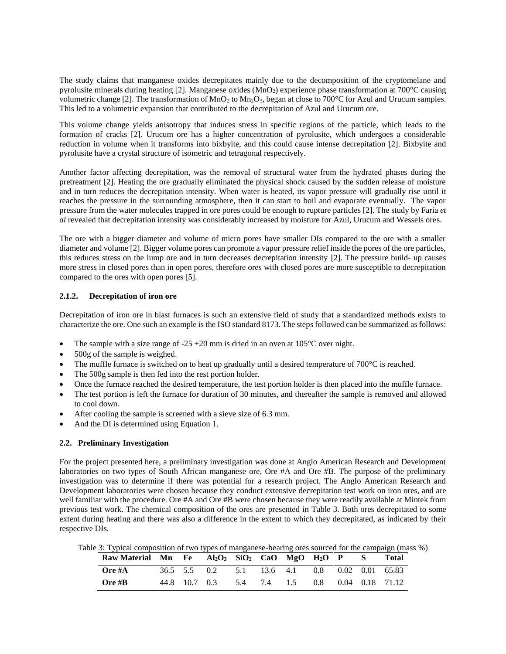The study claims that manganese oxides decrepitates mainly due to the decomposition of the cryptomelane and pyrolusite minerals during heating [2]. Manganese oxides (MnO2) experience phase transformation at 700°C causing volumetric change [2]. The transformation of  $MnO_2$  to  $Mn_2O_3$ , began at close to 700°C for Azul and Urucum samples. This led to a volumetric expansion that contributed to the decrepitation of Azul and Urucum ore.

This volume change yields anisotropy that induces stress in specific regions of the particle, which leads to the formation of cracks [2]. Urucum ore has a higher concentration of pyrolusite, which undergoes a considerable reduction in volume when it transforms into bixbyite, and this could cause intense decrepitation [2]. Bixbyite and pyrolusite have a crystal structure of isometric and tetragonal respectively.

Another factor affecting decrepitation, was the removal of structural water from the hydrated phases during the pretreatment [2]. Heating the ore gradually eliminated the physical shock caused by the sudden release of moisture and in turn reduces the decrepitation intensity. When water is heated, its vapor pressure will gradually rise until it reaches the pressure in the surrounding atmosphere, then it can start to boil and evaporate eventually. The vapor pressure from the water molecules trapped in ore pores could be enough to rupture particles [2]. The study by Faria *et al* revealed that decrepitation intensity was considerably increased by moisture for Azul, Urucum and Wessels ores.

The ore with a bigger diameter and volume of micro pores have smaller DIs compared to the ore with a smaller diameter and volume [2]. Bigger volume pores can promote a vapor pressure relief inside the pores of the ore particles, this reduces stress on the lump ore and in turn decreases decrepitation intensity [2]. The pressure build- up causes more stress in closed pores than in open pores, therefore ores with closed pores are more susceptible to decrepitation compared to the ores with open pores [5].

# **2.1.2. Decrepitation of iron ore**

Decrepitation of iron ore in blast furnaces is such an extensive field of study that a standardized methods exists to characterize the ore. One such an example is the ISO standard 8173. The steps followed can be summarized as follows:

- The sample with a size range of -25 +20 mm is dried in an oven at  $105^{\circ}$ C over night.
- 500g of the sample is weighed.
- The muffle furnace is switched on to heat up gradually until a desired temperature of 700°C is reached.
- The 500g sample is then fed into the rest portion holder.
- Once the furnace reached the desired temperature, the test portion holder is then placed into the muffle furnace.
- The test portion is left the furnace for duration of 30 minutes, and thereafter the sample is removed and allowed to cool down.
- After cooling the sample is screened with a sieve size of 6.3 mm.
- And the DI is determined using [Equation 1.](#page-1-3)

# **2.2. Preliminary Investigation**

For the project presented here, a preliminary investigation was done at Anglo American Research and Development laboratories on two types of South African manganese ore, Ore #A and Ore #B. The purpose of the preliminary investigation was to determine if there was potential for a research project. The Anglo American Research and Development laboratories were chosen because they conduct extensive decrepitation test work on iron ores, and are well familiar with the procedure. Ore #A and Ore #B were chosen because they were readily available at Mintek from previous test work. The chemical composition of the ores are presented in [Table 3.](#page-2-0) Both ores decrepitated to some extent during heating and there was also a difference in the extent to which they decrepitated, as indicated by their respective DIs.

<span id="page-2-0"></span>Table 3: Typical composition of two types of manganese-bearing ores sourced for the campaign (mass %)

| Raw Material Mn Fe Al2O3 SiO2 CaO MgO H2O P S Total |  |                                               |  |  |  |  |
|-----------------------------------------------------|--|-----------------------------------------------|--|--|--|--|
| Ore #A                                              |  | 36.5 5.5 0.2 5.1 13.6 4.1 0.8 0.02 0.01 65.83 |  |  |  |  |
| Ore #B                                              |  | 44.8 10.7 0.3 5.4 7.4 1.5 0.8 0.04 0.18 71.12 |  |  |  |  |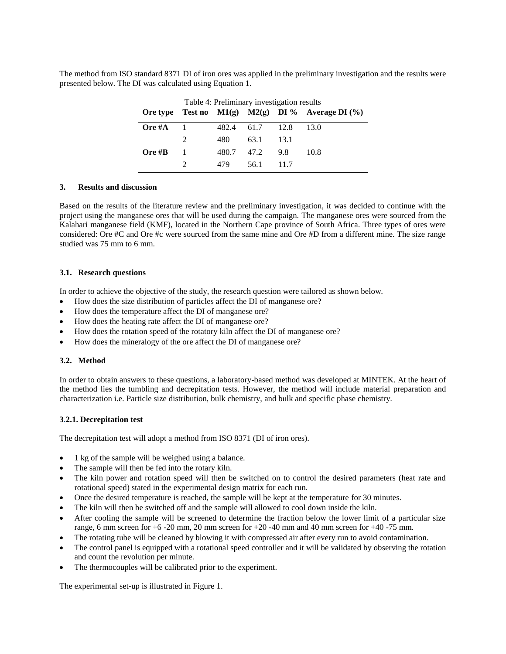The method from ISO standard 8371 DI of iron ores was applied in the preliminary investigation and the results were presented below. The DI was calculated using Equation 1.

| Table 4: Preliminary investigation results |                |       |                 |      |                                                      |
|--------------------------------------------|----------------|-------|-----------------|------|------------------------------------------------------|
|                                            |                |       |                 |      | Ore type Test no $M1(g)$ $M2(g)$ DI % Average DI (%) |
| Ore #A                                     |                |       | 482.4 61.7 12.8 |      | 13.0                                                 |
|                                            | $\mathcal{L}$  | 480   | 63.1            | 13.1 |                                                      |
| Ore $\#B$                                  | $\overline{1}$ | 480.7 | 47.2            | 9.8  | 10.8                                                 |
|                                            |                | 479   | 56 1            | 11.7 |                                                      |

### **3. Results and discussion**

Based on the results of the literature review and the preliminary investigation, it was decided to continue with the project using the manganese ores that will be used during the campaign. The manganese ores were sourced from the Kalahari manganese field (KMF), located in the Northern Cape province of South Africa. Three types of ores were considered: Ore #C and Ore #c were sourced from the same mine and Ore #D from a different mine. The size range studied was 75 mm to 6 mm.

#### **3.1. Research questions**

In order to achieve the objective of the study, the research question were tailored as shown below.

- How does the size distribution of particles affect the DI of manganese ore?
- How does the temperature affect the DI of manganese ore?
- How does the heating rate affect the DI of manganese ore?
- How does the rotation speed of the rotatory kiln affect the DI of manganese ore?
- How does the mineralogy of the ore affect the DI of manganese ore?

#### **3.2. Method**

In order to obtain answers to these questions, a laboratory-based method was developed at MINTEK. At the heart of the method lies the tumbling and decrepitation tests. However, the method will include material preparation and characterization i.e. Particle size distribution, bulk chemistry, and bulk and specific phase chemistry.

#### **3.2.1. Decrepitation test**

The decrepitation test will adopt a method from ISO 8371 (DI of iron ores).

- 1 kg of the sample will be weighed using a balance.
- The sample will then be fed into the rotary kiln.
- The kiln power and rotation speed will then be switched on to control the desired parameters (heat rate and rotational speed) stated in the experimental design matrix for each run.
- Once the desired temperature is reached, the sample will be kept at the temperature for 30 minutes.
- The kiln will then be switched off and the sample will allowed to cool down inside the kiln.
- After cooling the sample will be screened to determine the fraction below the lower limit of a particular size range, 6 mm screen for  $+6$  -20 mm, 20 mm screen for  $+20$  -40 mm and 40 mm screen for  $+40$  -75 mm.
- The rotating tube will be cleaned by blowing it with compressed air after every run to avoid contamination.
- The control panel is equipped with a rotational speed controller and it will be validated by observing the rotation and count the revolution per minute.
- The thermocouples will be calibrated prior to the experiment.

The experimental set-up is illustrated in [Figure 1.](#page-4-0)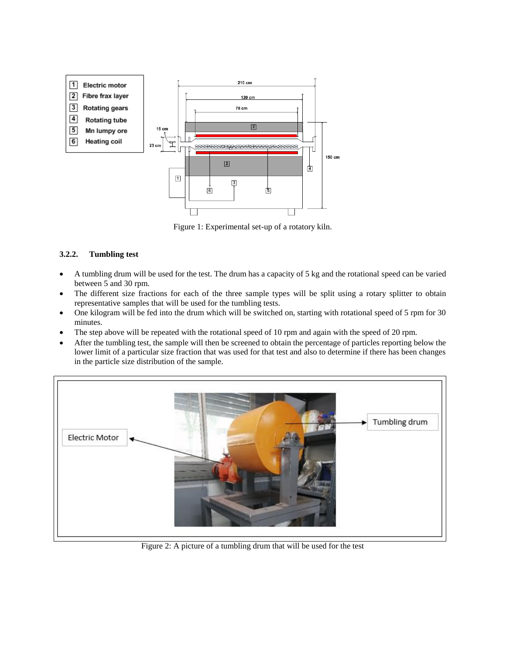

Figure 1: Experimental set-up of a rotatory kiln.

# <span id="page-4-0"></span>**3.2.2. Tumbling test**

- A tumbling drum will be used for the test. The drum has a capacity of 5 kg and the rotational speed can be varied between 5 and 30 rpm.
- The different size fractions for each of the three sample types will be split using a rotary splitter to obtain representative samples that will be used for the tumbling tests.
- One kilogram will be fed into the drum which will be switched on, starting with rotational speed of 5 rpm for 30 minutes.
- The step above will be repeated with the rotational speed of 10 rpm and again with the speed of 20 rpm.
- After the tumbling test, the sample will then be screened to obtain the percentage of particles reporting below the lower limit of a particular size fraction that was used for that test and also to determine if there has been changes in the particle size distribution of the sample.



Figure 2: A picture of a tumbling drum that will be used for the test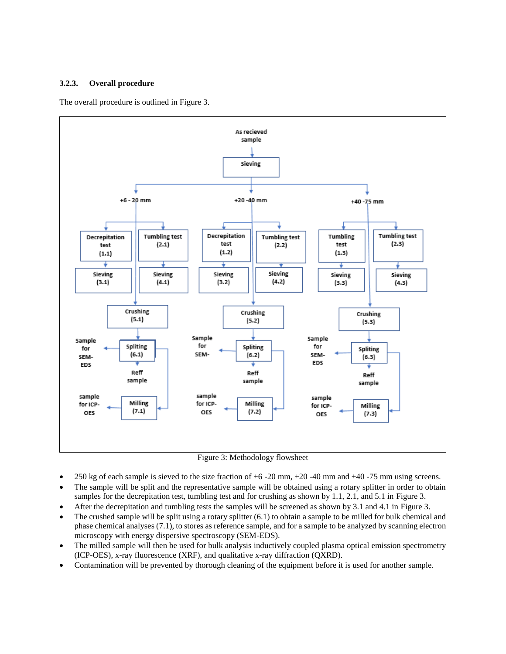# **3.2.3. Overall procedure**

The overall procedure is outlined in [Figure 3.](#page-5-0)



Figure 3: Methodology flowsheet

- <span id="page-5-0"></span> $\bullet$  250 kg of each sample is sieved to the size fraction of  $+6$  -20 mm,  $+20$  -40 mm and  $+40$  -75 mm using screens.
- The sample will be split and the representative sample will be obtained using a rotary splitter in order to obtain samples for the decrepitation test, tumbling test and for crushing as shown by 1.1, 2.1, and 5.1 in [Figure 3.](#page-5-0)
- After the decrepitation and tumbling tests the samples will be screened as shown by 3.1 and 4.1 in [Figure 3.](#page-5-0)
- The crushed sample will be split using a rotary splitter (6.1) to obtain a sample to be milled for bulk chemical and phase chemical analyses (7.1), to stores as reference sample, and for a sample to be analyzed by scanning electron microscopy with energy dispersive spectroscopy (SEM-EDS).
- The milled sample will then be used for bulk analysis inductively coupled plasma optical emission spectrometry (ICP-OES), x-ray fluorescence (XRF), and qualitative x-ray diffraction (QXRD).
- Contamination will be prevented by thorough cleaning of the equipment before it is used for another sample.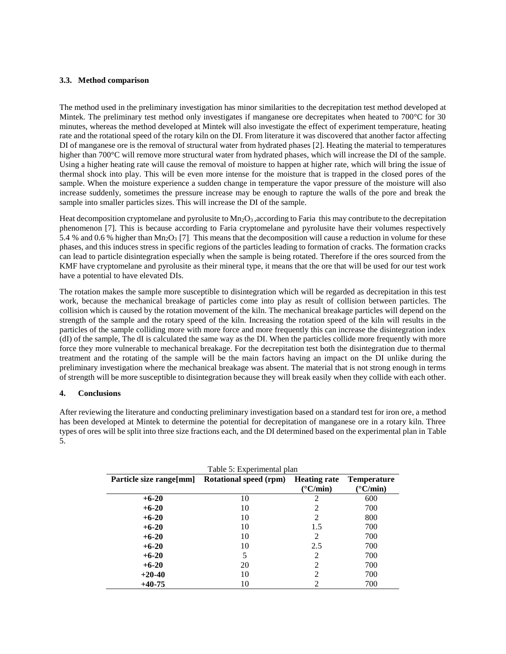## **3.3. Method comparison**

The method used in the preliminary investigation has minor similarities to the decrepitation test method developed at Mintek. The preliminary test method only investigates if manganese ore decrepitates when heated to 700°C for 30 minutes, whereas the method developed at Mintek will also investigate the effect of experiment temperature, heating rate and the rotational speed of the rotary kiln on the DI. From literature it was discovered that another factor affecting DI of manganese ore is the removal of structural water from hydrated phases [2]. Heating the material to temperatures higher than 700°C will remove more structural water from hydrated phases, which will increase the DI of the sample. Using a higher heating rate will cause the removal of moisture to happen at higher rate, which will bring the issue of thermal shock into play. This will be even more intense for the moisture that is trapped in the closed pores of the sample. When the moisture experience a sudden change in temperature the vapor pressure of the moisture will also increase suddenly, sometimes the pressure increase may be enough to rapture the walls of the pore and break the sample into smaller particles sizes. This will increase the DI of the sample.

Heat decomposition cryptomelane and pyrolusite to  $Mn<sub>2</sub>O<sub>3</sub>$ , according to Faria this may contribute to the decrepitation phenomenon [7]. This is because according to Faria cryptomelane and pyrolusite have their volumes respectively 5.4 % and 0.6 % higher than Mn<sub>2</sub>O<sub>3</sub> [7]. This means that the decomposition will cause a reduction in volume for these phases, and this induces stress in specific regions of the particles leading to formation of cracks. The formation cracks can lead to particle disintegration especially when the sample is being rotated. Therefore if the ores sourced from the KMF have cryptomelane and pyrolusite as their mineral type, it means that the ore that will be used for our test work have a potential to have elevated DIs.

The rotation makes the sample more susceptible to disintegration which will be regarded as decrepitation in this test work, because the mechanical breakage of particles come into play as result of collision between particles. The collision which is caused by the rotation movement of the kiln. The mechanical breakage particles will depend on the strength of the sample and the rotary speed of the kiln. Increasing the rotation speed of the kiln will results in the particles of the sample colliding more with more force and more frequently this can increase the disintegration index (dI) of the sample, The dI is calculated the same way as the DI. When the particles collide more frequently with more force they more vulnerable to mechanical breakage. For the decrepitation test both the disintegration due to thermal treatment and the rotating of the sample will be the main factors having an impact on the DI unlike during the preliminary investigation where the mechanical breakage was absent. The material that is not strong enough in terms of strength will be more susceptible to disintegration because they will break easily when they collide with each other.

#### **4. Conclusions**

After reviewing the literature and conducting preliminary investigation based on a standard test for iron ore, a method has been developed at Mintek to determine the potential for decrepitation of manganese ore in a rotary kiln. Three types of ores will be split into three size fractions each, and the DI determined based on the experimental plan in [Table](#page-6-0) [5.](#page-6-0)

<span id="page-6-0"></span>

|                          | Table 5: Experimental plan    |                     |                    |  |  |  |  |
|--------------------------|-------------------------------|---------------------|--------------------|--|--|--|--|
| Particle size range [mm] | <b>Rotational speed (rpm)</b> | <b>Heating rate</b> | <b>Temperature</b> |  |  |  |  |
|                          |                               | $(^{\circ}C/min)$   | $(^{\circ}C/min)$  |  |  |  |  |
| $+6-20$                  | 10                            | 2                   | 600                |  |  |  |  |
| $+6-20$                  | 10                            | $\mathcal{L}$       | 700                |  |  |  |  |
| $+6-20$                  | 10                            | 2                   | 800                |  |  |  |  |
| $+6-20$                  | 10                            | 1.5                 | 700                |  |  |  |  |
| $+6-20$                  | 10                            | 2                   | 700                |  |  |  |  |
| $+6-20$                  | 10                            | 2.5                 | 700                |  |  |  |  |
| $+6-20$                  | 5                             | 2                   | 700                |  |  |  |  |
| $+6-20$                  | 20                            | $\mathcal{L}$       | 700                |  |  |  |  |
| $+20-40$                 | 10                            | 2                   | 700                |  |  |  |  |
| $+40-75$                 | 10                            | 2                   | 700                |  |  |  |  |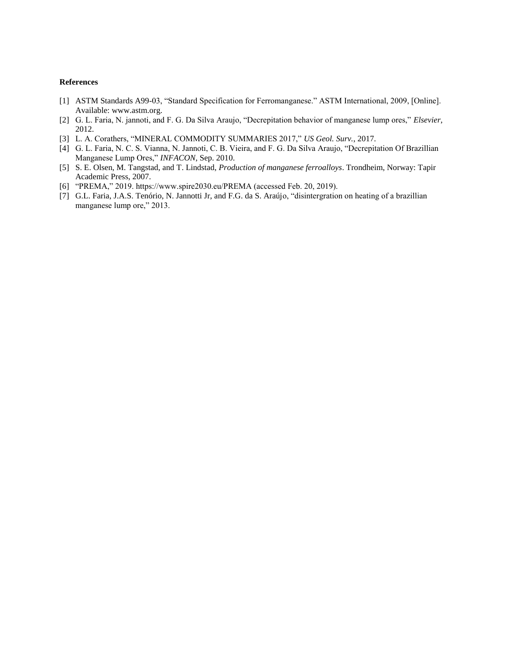### **References**

- [1] ASTM Standards A99-03, "Standard Specification for Ferromanganese." ASTM International, 2009, [Online]. Available: www.astm.org.
- [2] G. L. Faria, N. jannoti, and F. G. Da Silva Araujo, "Decrepitation behavior of manganese lump ores," *Elsevier*, 2012.
- [3] L. A. Corathers, "MINERAL COMMODITY SUMMARIES 2017," *US Geol. Surv.*, 2017.
- [4] G. L. Faria, N. C. S. Vianna, N. Jannoti, C. B. Vieira, and F. G. Da Silva Araujo, "Decrepitation Of Brazillian Manganese Lump Ores," *INFACON*, Sep. 2010.
- [5] S. E. Olsen, M. Tangstad, and T. Lindstad, *Production of manganese ferroalloys*. Trondheim, Norway: Tapir Academic Press, 2007.
- [6] "PREMA," 2019. https://www.spire2030.eu/PREMA (accessed Feb. 20, 2019).
- [7] G.L. Faria, J.A.S. Tenório, N. Jannotti Jr, and F.G. da S. Araújo, "disintergration on heating of a brazillian manganese lump ore," 2013.